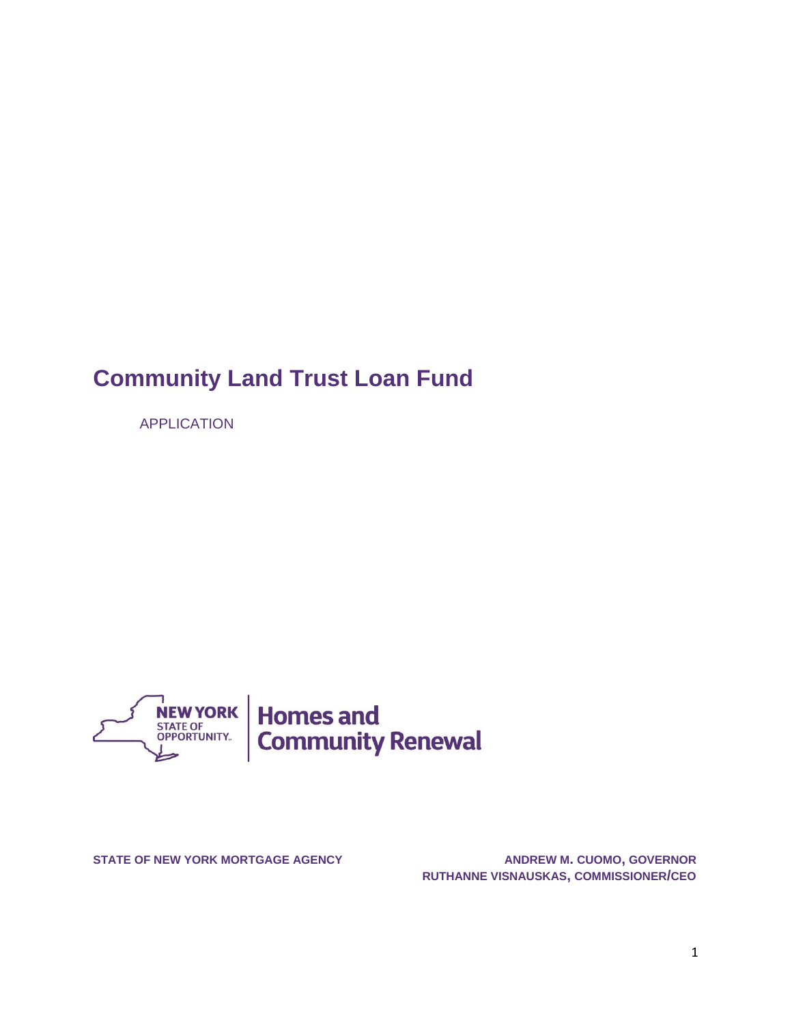# **Community Land Trust Loan Fund**

APPLICATION



**STATE OF NEW YORK MORTGAGE AGENCY ANDREW M. CUOMO, GOVERNOR RUTHANNE VISNAUSKAS, COMMISSIONER/CEO**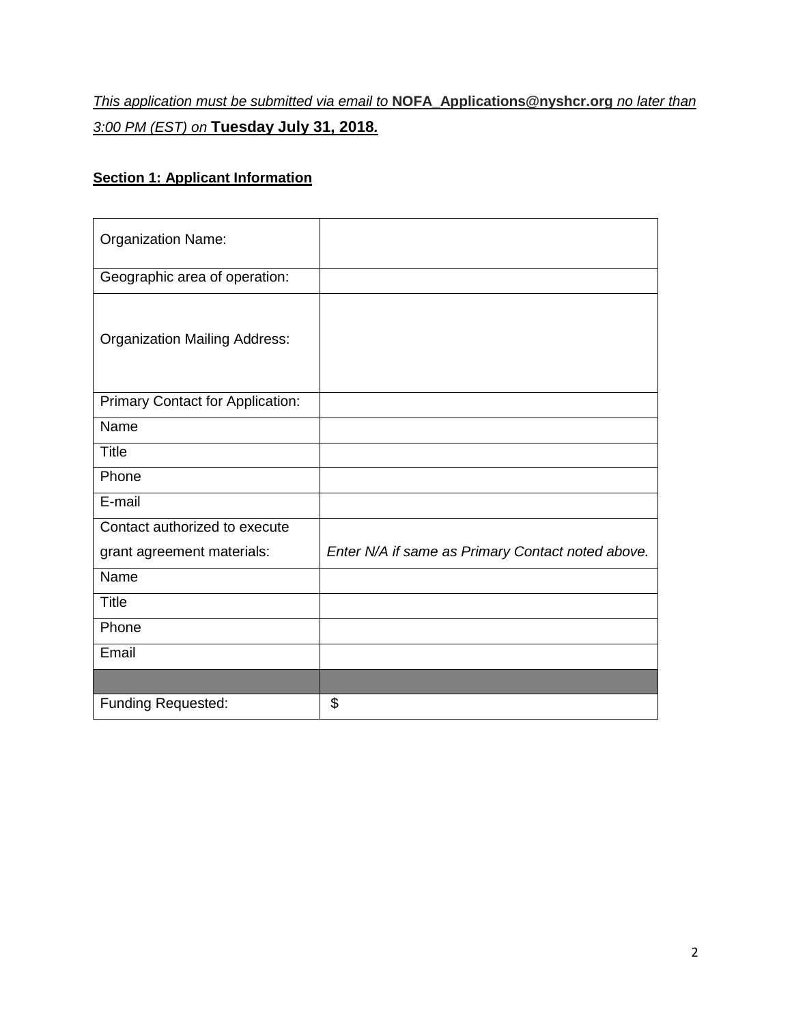## *This application must be submitted via email to* **[NOFA\\_Applications@nyshcr.org](file://///corp.nyhomes.org/shared/users/RWieder1/Community%20Land%20Trust%20RFQ/NOFA_Applications@nyshcr.org%20)** *no later than 3:00 PM (EST) on* **Tuesday July 31, 2018***.*

## **Section 1: Applicant Information**

| <b>Organization Name:</b>            |                                                   |
|--------------------------------------|---------------------------------------------------|
| Geographic area of operation:        |                                                   |
| <b>Organization Mailing Address:</b> |                                                   |
| Primary Contact for Application:     |                                                   |
| Name                                 |                                                   |
| <b>Title</b>                         |                                                   |
| Phone                                |                                                   |
| E-mail                               |                                                   |
| Contact authorized to execute        |                                                   |
| grant agreement materials:           | Enter N/A if same as Primary Contact noted above. |
| Name                                 |                                                   |
| <b>Title</b>                         |                                                   |
| Phone                                |                                                   |
| Email                                |                                                   |
|                                      |                                                   |
| <b>Funding Requested:</b>            | \$                                                |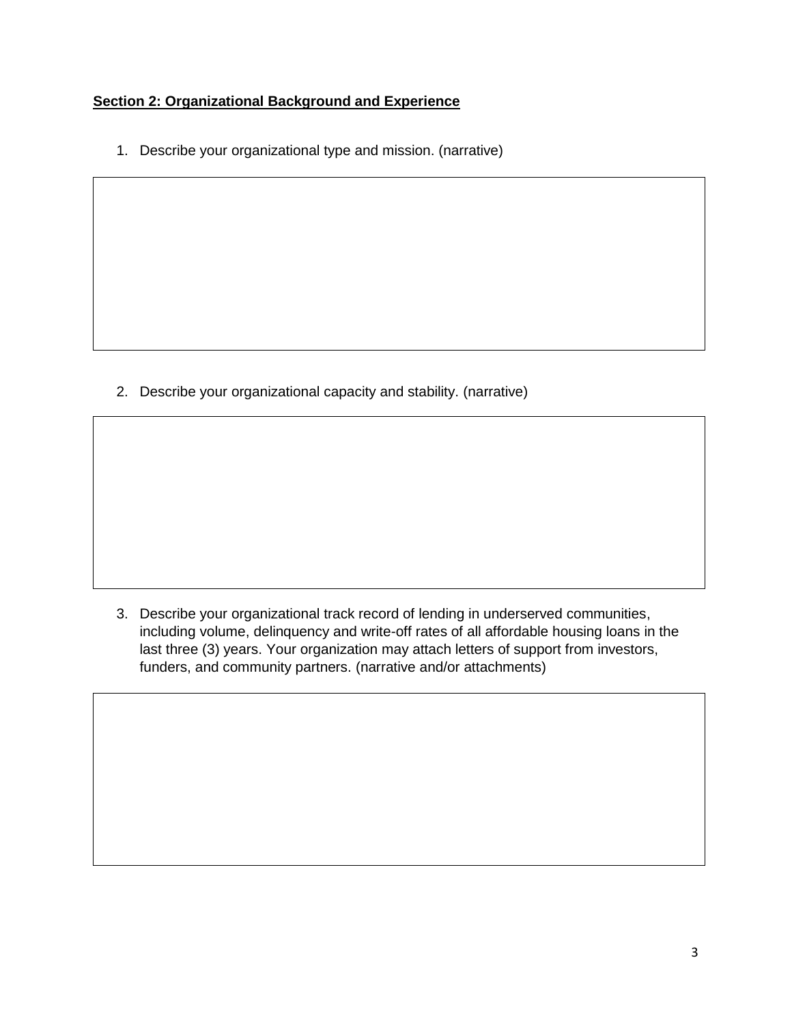### **Section 2: Organizational Background and Experience**

1. Describe your organizational type and mission. (narrative)

2. Describe your organizational capacity and stability. (narrative)

3. Describe your organizational track record of lending in underserved communities, including volume, delinquency and write-off rates of all affordable housing loans in the last three (3) years. Your organization may attach letters of support from investors, funders, and community partners. (narrative and/or attachments)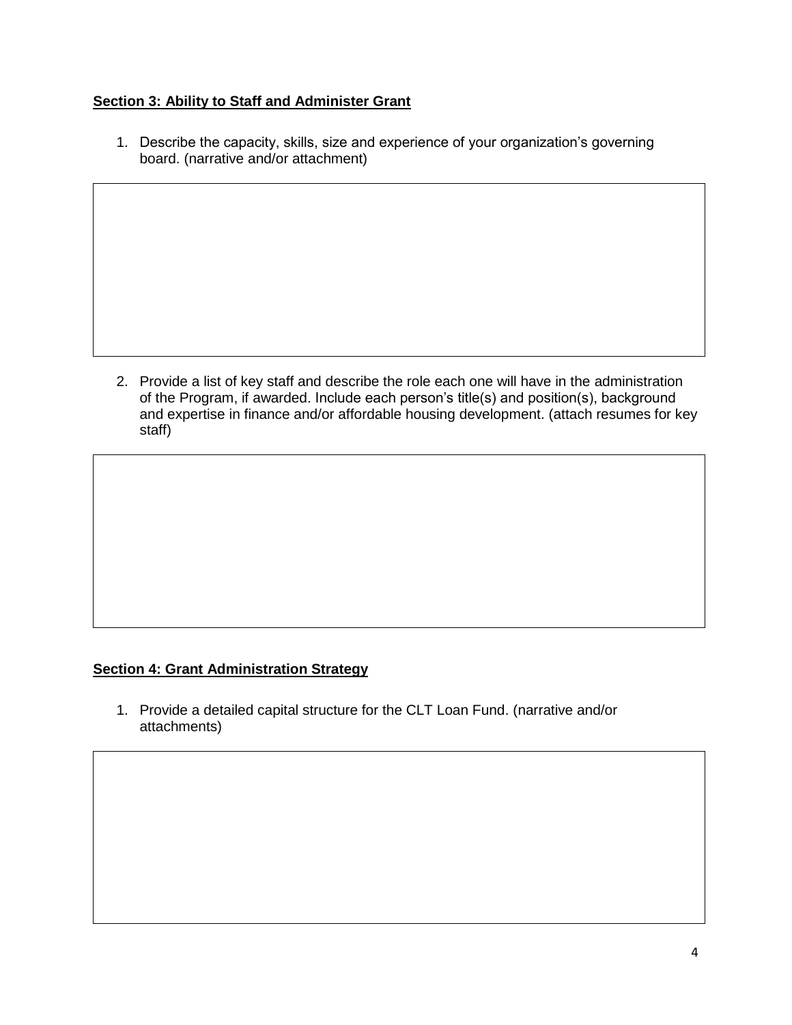#### **Section 3: Ability to Staff and Administer Grant**

1. Describe the capacity, skills, size and experience of your organization's governing board. (narrative and/or attachment)

2. Provide a list of key staff and describe the role each one will have in the administration of the Program, if awarded. Include each person's title(s) and position(s), background and expertise in finance and/or affordable housing development. (attach resumes for key staff)

#### **Section 4: Grant Administration Strategy**

1. Provide a detailed capital structure for the CLT Loan Fund. (narrative and/or attachments)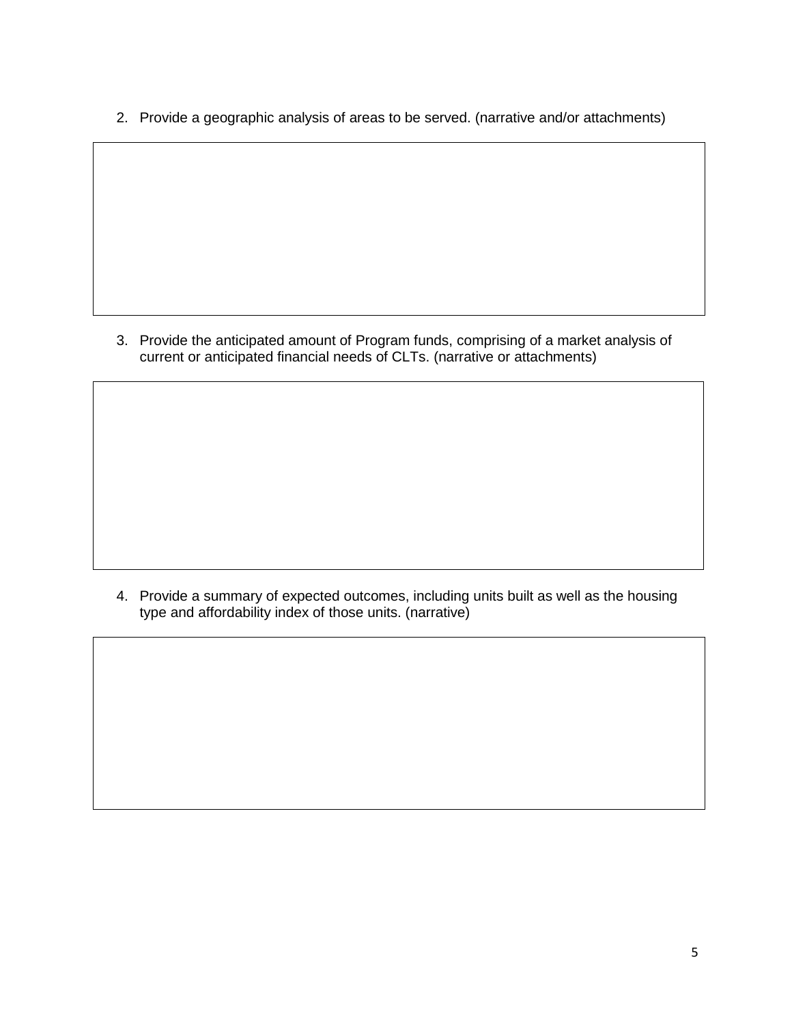2. Provide a geographic analysis of areas to be served. (narrative and/or attachments)

3. Provide the anticipated amount of Program funds, comprising of a market analysis of current or anticipated financial needs of CLTs. (narrative or attachments)

4. Provide a summary of expected outcomes, including units built as well as the housing type and affordability index of those units. (narrative)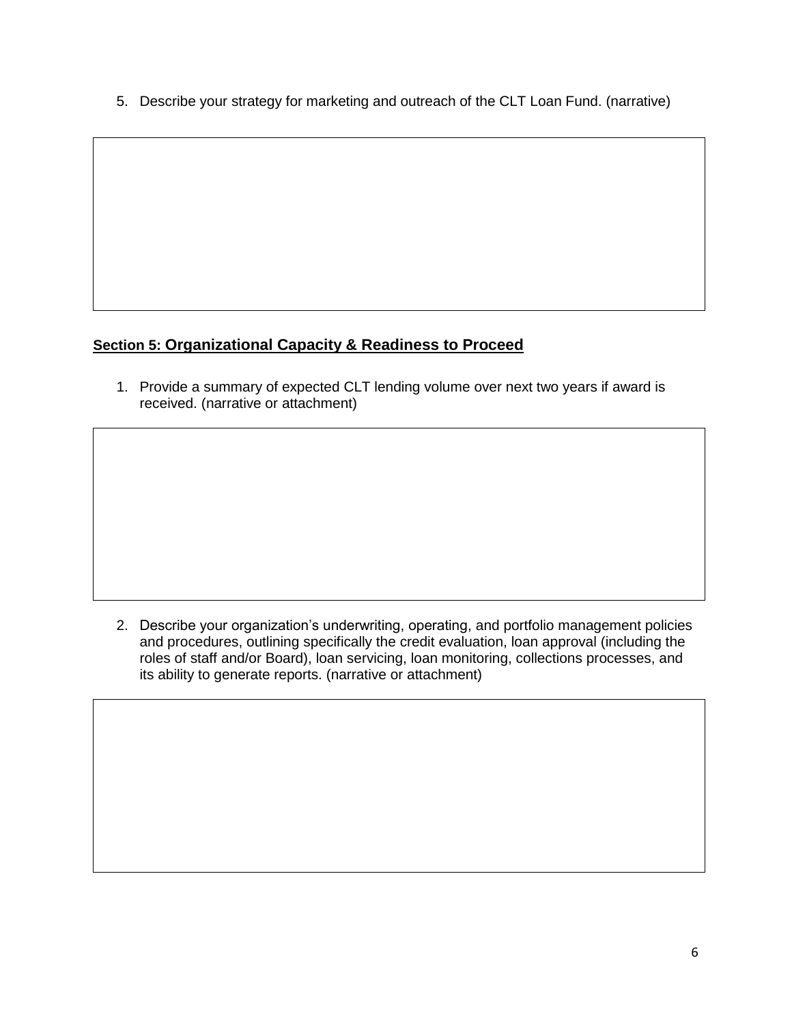5. Describe your strategy for marketing and outreach of the CLT Loan Fund. (narrative)

## **Section 5: Organizational Capacity & Readiness to Proceed**

1. Provide a summary of expected CLT lending volume over next two years if award is received. (narrative or attachment)

2. Describe your organization's underwriting, operating, and portfolio management policies and procedures, outlining specifically the credit evaluation, loan approval (including the roles of staff and/or Board), loan servicing, loan monitoring, collections processes, and its ability to generate reports. (narrative or attachment)